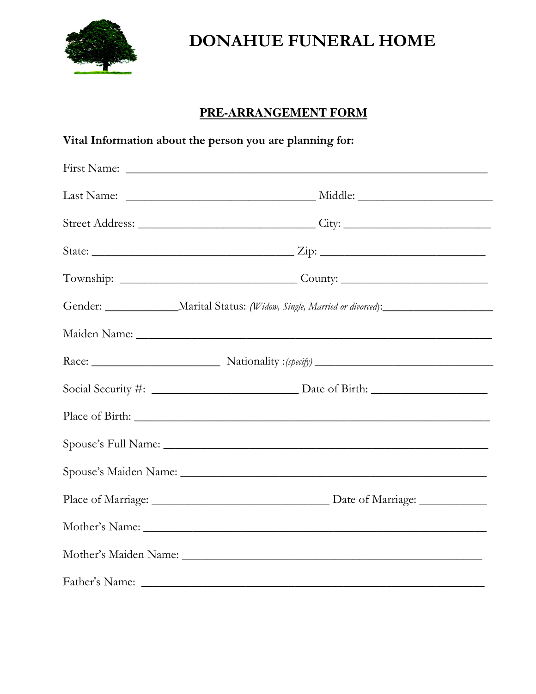

# **DONAHUE FUNERAL HOME**

# PRE-ARRANGEMENT FORM

| Vital Information about the person you are planning for: |                                                                                                      |
|----------------------------------------------------------|------------------------------------------------------------------------------------------------------|
|                                                          |                                                                                                      |
|                                                          |                                                                                                      |
|                                                          |                                                                                                      |
|                                                          |                                                                                                      |
|                                                          |                                                                                                      |
|                                                          | Gender: _________________Marital Status: (Widow, Single, Married or divorced):______________________ |
|                                                          |                                                                                                      |
|                                                          |                                                                                                      |
|                                                          |                                                                                                      |
|                                                          |                                                                                                      |
|                                                          |                                                                                                      |
|                                                          |                                                                                                      |
|                                                          |                                                                                                      |
|                                                          |                                                                                                      |
|                                                          |                                                                                                      |
|                                                          |                                                                                                      |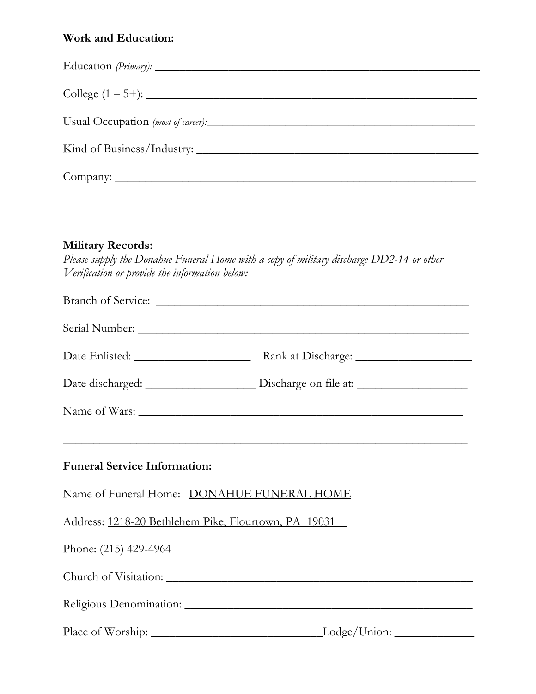### Work and Education:

| Usual Occupation (most of career): |
|------------------------------------|
| Kind of Business/Industry:         |
|                                    |

#### Military Records:

Please supply the Donahue Funeral Home with a copy of military discharge DD2-14 or other Verification or provide the information below:

|                                                      | <u> 1990 - Johann John Harry Harry Harry Harry Harry Harry Harry Harry Harry Harry Harry Harry Harry Harry Harry H</u> |  |
|------------------------------------------------------|------------------------------------------------------------------------------------------------------------------------|--|
| <b>Funeral Service Information:</b>                  |                                                                                                                        |  |
| Name of Funeral Home: DONAHUE FUNERAL HOME           |                                                                                                                        |  |
| Address: 1218-20 Bethlehem Pike, Flourtown, PA 19031 |                                                                                                                        |  |
| Phone: (215) 429-4964                                |                                                                                                                        |  |
|                                                      |                                                                                                                        |  |
|                                                      |                                                                                                                        |  |
|                                                      |                                                                                                                        |  |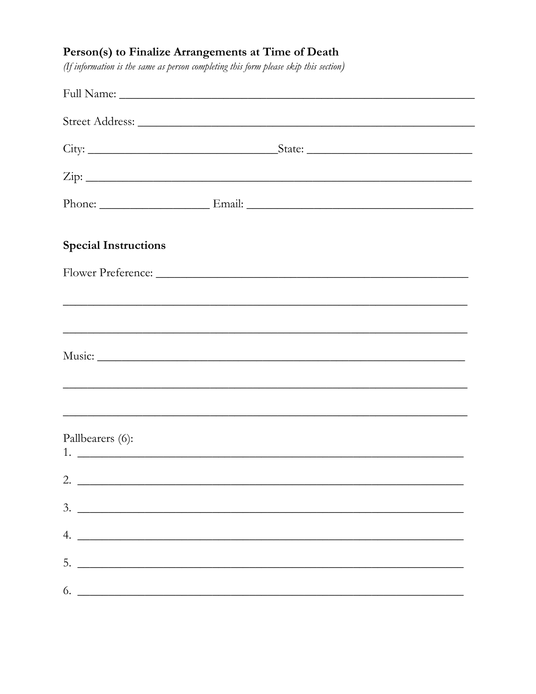### Person(s) to Finalize Arrangements at Time of Death

(If information is the same as person completing this form please skip this section)

| <b>Special Instructions</b>   |  |  |
|-------------------------------|--|--|
|                               |  |  |
|                               |  |  |
|                               |  |  |
|                               |  |  |
|                               |  |  |
| Pallbearers (6):              |  |  |
| 2. $\overline{\phantom{a}}$   |  |  |
| $3.$ $\overline{\phantom{a}}$ |  |  |
|                               |  |  |
|                               |  |  |
|                               |  |  |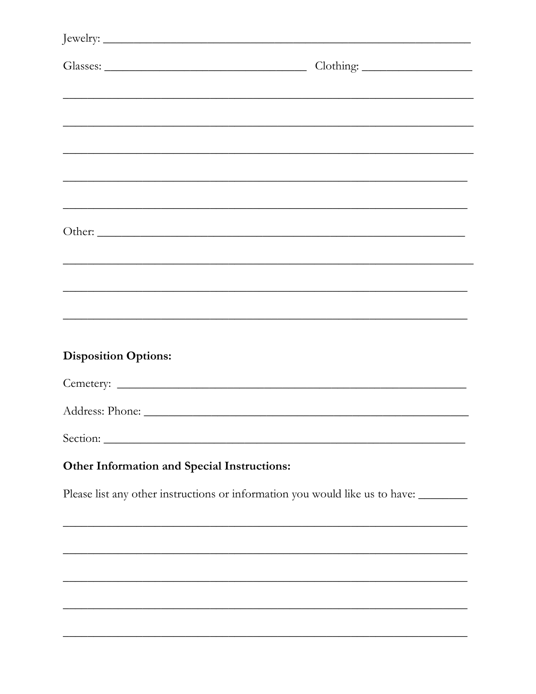|                                             | Clothing:                                                                                                             |  |
|---------------------------------------------|-----------------------------------------------------------------------------------------------------------------------|--|
|                                             | <u> 1990 - Johann John Stone, market ar yn y de ferfinning yn y de ferfinning yn y de ferfinning yn y de ferfinni</u> |  |
|                                             |                                                                                                                       |  |
|                                             |                                                                                                                       |  |
|                                             |                                                                                                                       |  |
|                                             |                                                                                                                       |  |
|                                             |                                                                                                                       |  |
| Other:                                      |                                                                                                                       |  |
|                                             |                                                                                                                       |  |
|                                             |                                                                                                                       |  |
|                                             | <u> 1989 - Johann John Stone, market ar yn it yn it yn it yn y geriffennas yn y sy'n yn y brenin yn y brenin yn y</u> |  |
| <b>Disposition Options:</b>                 |                                                                                                                       |  |
|                                             |                                                                                                                       |  |
|                                             |                                                                                                                       |  |
|                                             |                                                                                                                       |  |
| Other Information and Special Instructions: |                                                                                                                       |  |
|                                             | Please list any other instructions or information you would like us to have: _______                                  |  |
|                                             |                                                                                                                       |  |
|                                             |                                                                                                                       |  |
|                                             |                                                                                                                       |  |
|                                             |                                                                                                                       |  |

÷,